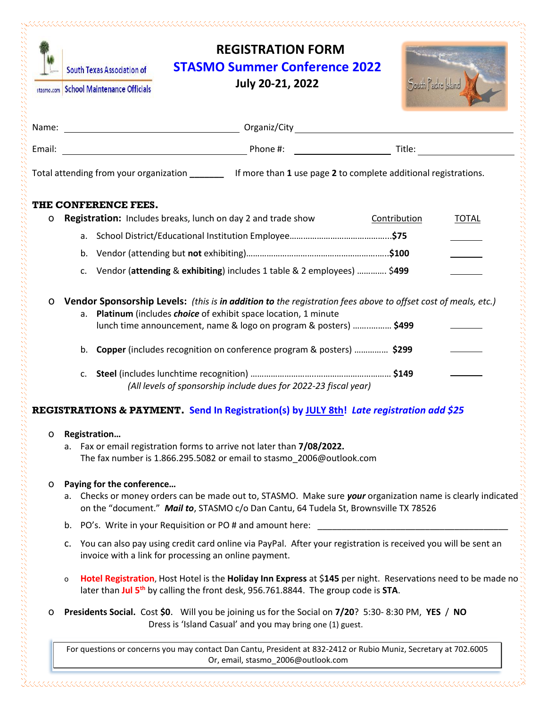|        | <b>South Texas Association of</b><br>stasmo.com School Maintenance Officials                                                                                                 | <b>REGISTRATION FORM</b><br><b>STASMO Summer Conference 2022</b><br><b>July 20-21, 2022</b>                                                                                                                     | South Padre sland            |  |  |
|--------|------------------------------------------------------------------------------------------------------------------------------------------------------------------------------|-----------------------------------------------------------------------------------------------------------------------------------------------------------------------------------------------------------------|------------------------------|--|--|
|        |                                                                                                                                                                              |                                                                                                                                                                                                                 |                              |  |  |
| Email: |                                                                                                                                                                              |                                                                                                                                                                                                                 |                              |  |  |
|        |                                                                                                                                                                              | Total attending from your organization ________ If more than 1 use page 2 to complete additional registrations.                                                                                                 |                              |  |  |
|        | THE CONFERENCE FEES.                                                                                                                                                         |                                                                                                                                                                                                                 |                              |  |  |
| o      |                                                                                                                                                                              | <b>Registration:</b> Includes breaks, lunch on day 2 and trade show                                                                                                                                             | Contribution<br><b>TOTAL</b> |  |  |
|        |                                                                                                                                                                              |                                                                                                                                                                                                                 |                              |  |  |
|        | b.                                                                                                                                                                           |                                                                                                                                                                                                                 |                              |  |  |
|        | c.                                                                                                                                                                           | Vendor (attending & exhibiting) includes 1 table & 2 employees)  \$499                                                                                                                                          |                              |  |  |
|        | b.<br>C.                                                                                                                                                                     | lunch time announcement, name & logo on program & posters)  \$499<br>Copper (includes recognition on conference program & posters)  \$299<br>(All levels of sponsorship include dues for 2022-23 fiscal year)   |                              |  |  |
|        |                                                                                                                                                                              | REGISTRATIONS & PAYMENT Send In Registration(s) by JULY 8th! Late registration add \$25                                                                                                                         |                              |  |  |
| 0      | Registration                                                                                                                                                                 | a. Fax or email registration forms to arrive not later than 7/08/2022.<br>The fax number is 1.866.295.5082 or email to stasmo_2006@outlook.com                                                                  |                              |  |  |
| o      | Paying for the conference                                                                                                                                                    | a. Checks or money orders can be made out to, STASMO. Make sure your organization name is clearly indicated<br>on the "document." Mail to, STASMO c/o Dan Cantu, 64 Tudela St, Brownsville TX 78526             |                              |  |  |
|        | PO's. Write in your Requisition or PO # and amount here:<br>b.                                                                                                               |                                                                                                                                                                                                                 |                              |  |  |
|        | You can also pay using credit card online via PayPal. After your registration is received you will be sent an<br>c.<br>invoice with a link for processing an online payment. |                                                                                                                                                                                                                 |                              |  |  |
|        | o                                                                                                                                                                            | Hotel Registration, Host Hotel is the Holiday Inn Express at \$145 per night. Reservations need to be made no<br>later than Jul 5 <sup>th</sup> by calling the front desk, 956.761.8844. The group code is STA. |                              |  |  |
| 0      |                                                                                                                                                                              | Presidents Social. Cost \$0. Will you be joining us for the Social on 7/20? 5:30-8:30 PM, YES / NO<br>Dress is 'Island Casual' and you may bring one (1) guest.                                                 |                              |  |  |
|        |                                                                                                                                                                              | For questions or concerns you may contact Dan Cantu, President at 832-2412 or Rubio Muniz, Secretary at 702.6005<br>Or, email, stasmo_2006@outlook.com                                                          |                              |  |  |